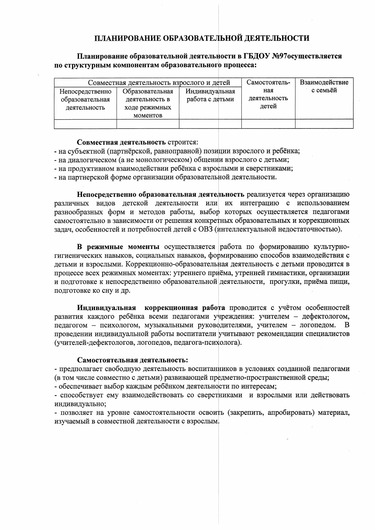#### ПЛАНИРОВАНИЕ ОБРАЗОВАТЕЛЬНОЙ ДЕЯТЕЛЬНОСТИ

#### Планирование образовательной деятельности в ГБДОУ №97осуществляется по структурным компонентам образовательного процесса:

|                                                    | Совместная деятельность взрослого и детей                      | Самостоятель-                     | Взаимодействие               |          |
|----------------------------------------------------|----------------------------------------------------------------|-----------------------------------|------------------------------|----------|
| Непосредственно<br>образовательная<br>деятельность | Образовательная<br>деятельность в<br>ходе режимных<br>моментов | Индивидуальная<br>работа с детьми | ная<br>деятельность<br>летей | с семьёй |
|                                                    |                                                                |                                   |                              |          |

#### Совместная деятельность строится:

- на субъектной (партнёрской, равноправной) позиции взрослого и ребёнка;
- на диалогическом (а не монологическом) общении взрослого с детьми;
- на продуктивном взаимодействии ребёнка с взрослыми и сверстниками;
- на партнерской форме организации образовательной деятельности.

Непосредственно образовательная деятельность реализуется через организацию различных видов детской деятельности или их интеграцию с использованием разнообразных форм и методов работы, выбор которых осуществляется педагогами самостоятельно в зависимости от решения конкретных образовательных и коррекционных задач, особенностей и потребностей детей с ОВЗ (интеллектуальной недостаточностью).

В режимные моменты осуществляется работа по формированию культурногигиенических навыков, социальных навыков, формированию способов взаимодействия с детьми и взрослыми. Коррекционно-образовательная деятельность с детьми проводится в процессе всех режимных моментах: утреннего приёма, утренней гимнастики, организации и подготовке к непосредственно образовательной деятельности, прогулки, приёма пищи, подготовке ко сну и др.

Инливилуальная коррекционная работа проводится с учётом особенностей развития каждого ребёнка всеми педагогами учреждения: учителем - дефектологом, педагогом - психологом, музыкальными руководителями, учителем - логопедом. B. проведении индивидуальной работы воспитатели учитывают рекомендации специалистов (учителей-дефектологов, логопедов, педагога-психолога).

#### Самостоятельная деятельность:

- предполагает свободную деятельность воспитанников в условиях созданной педагогами (в том числе совместно с детьми) развивающей предметно-пространственной среды;

- обеспечивает выбор каждым ребёнком деятельности по интересам;

- способствует ему взаимодействовать со сверстниками и взрослыми или действовать индивидуально;

- позволяет на уровне самостоятельности освоить (закрепить, апробировать) материал, изучаемый в совместной деятельности с взрослым.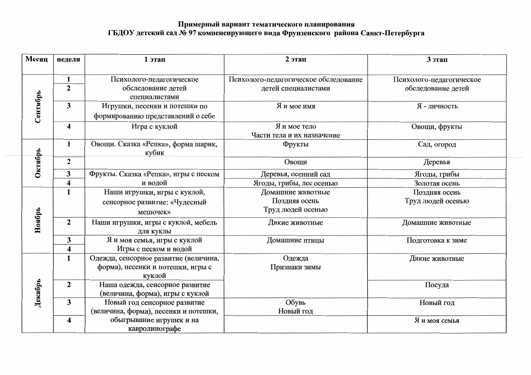# Примерный вариант тематического планирования<br>ГБДОУ детский сад № 97 компенсирующего вида Фрунзенского района Санкт-Петербурга

| Месяц    | неделя                  | 1 этап                                | 2 этап                                | 3 этап                   |
|----------|-------------------------|---------------------------------------|---------------------------------------|--------------------------|
|          |                         |                                       |                                       |                          |
|          | $\mathbf{1}$            | Психолого-педагогическое              | Психолого-педагогическое обследование | Психолого-педагогическое |
|          | $\overline{2}$          | обследование детей                    | детей специалистами                   | обследование детей       |
|          |                         | специалистами                         |                                       |                          |
|          | $\overline{\mathbf{3}}$ | Игрушки, песенки и потешки по         | Я и мое имя                           | Я - личность             |
| Сентябрь |                         | формированию представлений о себе     |                                       |                          |
|          | 4                       | Игра с куклой                         | Я и мое тело                          | Овощи, фрукты            |
|          |                         |                                       | Части тела и их назначение            |                          |
|          | $\mathbf{1}$            | Овощи. Сказка «Репка», форма шарик,   | Фрукты                                | Сад, огород              |
|          |                         | кубик                                 |                                       |                          |
| Октябрь  | $\mathbf{2}$            |                                       | Овощи                                 | Деревья                  |
|          | 3                       | Фрукты. Сказка «Репка», игры с песком | Деревья, осенний сад                  | Ягоды, грибы             |
|          | 4                       | и водой                               | Ягоды, грибы, лес осенью              | Золотая осень            |
|          | $\mathbf{1}$            | Наши игрушки, игры с куклой,          | Домашние животные                     | Поздняя осень            |
|          |                         | сенсорное развитие: «Чудесный         | Поздняя осень                         | Труд людей осенью        |
|          |                         | мешочек»                              | Труд людей осенью                     |                          |
| Ноябрь   | $\overline{2}$          | Наши игрушки, игры с куклой, мебель   | Дикие животные                        | Домашние животные        |
|          |                         | для куклы                             |                                       |                          |
|          | 3                       | Я и моя семья, игры с куклой          | Домашние птицы                        | Подготовка к зиме        |
|          | 4                       | Игры с песком и водой                 |                                       |                          |
|          | $\mathbf{1}$            | Одежда, сенсорное развитие (величина, | Одежда                                | Дикие животные           |
|          |                         | форма), песенки и потешки, игры с     | Признаки зимы                         |                          |
|          |                         | куклой                                |                                       |                          |
|          | $\overline{2}$          | Наша одежда, сенсорное развитие       |                                       | Посуда                   |
| Декабрь  |                         | (величина, форма), игры с куклой      |                                       |                          |
|          | 3                       | Новый год сенсорное развитие          | Обувь                                 | Новый год                |
|          |                         | (величина, форма), песенки и потешки, | Новый год                             |                          |
|          | 4                       | обыгрывание игрушек и на              |                                       | Я и моя семья            |
|          |                         | кавролинографе                        |                                       |                          |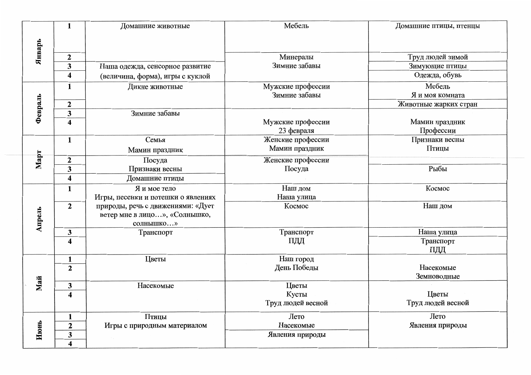|         | $\mathbf{1}$                            | Домашние животные                  | Мебель            | Домашние птицы, птенцы |
|---------|-----------------------------------------|------------------------------------|-------------------|------------------------|
| Январь  |                                         |                                    |                   |                        |
|         | $\boldsymbol{2}$                        |                                    | Минералы          | Труд людей зимой       |
|         | $\overline{\mathbf{3}}$                 | Наша одежда, сенсорное развитие    | Зимние забавы     | Зимующие птицы         |
|         | $\overline{\mathbf{4}}$                 | (величина, форма), игры с куклой   |                   | Одежда, обувь          |
|         | $\mathbf{1}$                            | Дикие животные                     | Мужские профессии | Мебель                 |
|         |                                         |                                    | Зимние забавы     | Я и моя комната        |
|         | $\mathbf{2}$                            |                                    |                   | Животные жарких стран  |
| Февраль | $\overline{\mathbf{3}}$                 | Зимние забавы                      |                   |                        |
|         | $\overline{4}$                          |                                    | Мужские профессии | Мамин праздник         |
|         |                                         |                                    | 23 февраля        | Профессии              |
|         | $\mathbf{1}$                            | Семья                              | Женские профессии | Признаки весны         |
|         |                                         | Мамин праздник                     | Мамин праздник    | Птицы                  |
| Март    | $\mathbf{2}$                            | Посуда                             | Женские профессии |                        |
|         | $\overline{\mathbf{3}}$                 | Признаки весны                     | Посуда            | Рыбы                   |
|         | $\overline{\mathbf{4}}$                 | Домашние птицы                     |                   |                        |
|         | $\mathbf{1}$                            | Я и мое тело                       | Наш дом           | Космос                 |
|         |                                         | Игры, песенки и потешки о явлениях | Наша улица        |                        |
|         | $\mathbf{2}$                            | природы, речь с движениями: «Дует  | Космос            | Наш дом                |
|         |                                         | ветер мне в лицо», «Солнышко,      |                   |                        |
| Апрель  |                                         | солнышко»                          |                   |                        |
|         | 3                                       | Транспорт                          | Транспорт         | Наша улица             |
|         | $\overline{\mathbf{4}}$                 |                                    | ПДД               | Транспорт              |
|         |                                         |                                    |                   | ПДД                    |
|         | $\mathbf{1}$                            | Цветы                              | Наш город         | Насекомые              |
|         | $\overline{2}$                          |                                    | День Победы       | Земноводные            |
| Maň     |                                         | Насекомые                          | Цветы             |                        |
|         | $\mathbf{3}$<br>$\overline{\mathbf{4}}$ |                                    | Кусты             | Цветы                  |
|         |                                         |                                    | Труд людей весной | Труд людей весной      |
|         |                                         |                                    |                   |                        |
|         | $\mathbf{1}$                            | Птицы                              | Лето              | Лето                   |
|         | $\mathbf{2}$                            | Игры с природным материалом        | Насекомые         | Явления природы        |
| Июнь    | $\mathbf{3}$                            |                                    | Явления природы   |                        |
|         | 4                                       |                                    |                   |                        |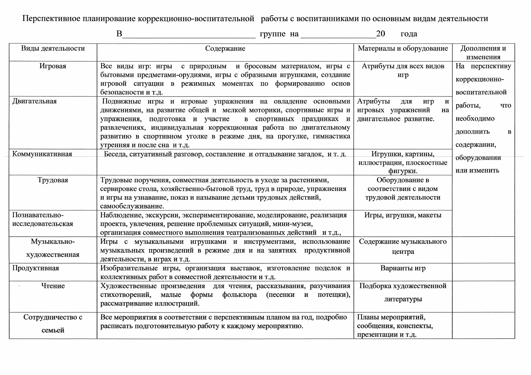Перспективное планирование коррекционно-воспитательной работы с воспитанниками по основным видам деятельности

 $\mathbf{B}$ 20 года Материалы и оборудование Виды деятельности Содержание Дополнения и изменения Игровая Все виды игр: игры с природным и бросовым материалом, игры с Атрибуты для всех видов На перспективу бытовыми предметами-орудиями, игры с образными игрушками, создание игр коррекционноигровой ситуации в режимных моментах по формированию основ безопасности и т.д. воспитательной Двигательная Подвижные игры и игровые упражнения на овладение основными Атрибуты для  $\mathbf{H}$ игр работы, что движениями, на развитие общей и мелкой моторики, спортивные игры и игровых упражнений на двигательное развитие. необходимо упражнения, подготовка и участие в спортивных праздниках и развлечениях, индивидуальная коррекционная работа по двигательному лополнить  $\bf{B}$ развитию в спортивном уголке в режиме дня, на прогулке, гимнастика содержании, утренняя и после сна и т.д. Коммуникативная Беседа, ситуативный разговор, составление и отгадывание загадок. и т. д. Игрушки, картины, оборудовании иллюстрации, плоскостные фигурки. или изменить Трудовая Оборудование в Трудовые поручения, совместная деятельность в уходе за растениями, сервировке стола, хозяйственно-бытовой труд, труд в природе, упражнения соответствии с видом и игры на узнавание, показ и называние детьми трудовых действий, трудовой деятельности самообслуживание. Познавательно-Наблюдение, экскурсии, экспериментирование, моделирование, реализация Игры, игрушки, макеты проекта, увлечения, решение проблемных ситуаций, мини-музеи, исследовательская организация совместного выполнения театрализованных действий и т.д., Музыкально-Игры с музыкальными игрушками и инструментами, использование Содержание музыкального музыкальных произведений в режиме дня и на занятиях продуктивной центра художественная деятельности, в играх и т.д. Изобразительные игры, организация выставок, изготовление поделок и Продуктивная Варианты игр коллективных работ в совместной деятельности и т.д. Подборка художественной Художественные произведения для чтения, рассказывания, разучивания Чтение стихотворений, малые формы фольклора (песенки и потещки), литературы рассматривание иллюстраций. Сотрудничество с Все мероприятия в соответствии с перспективным планом на год, подробно Планы мероприятий, расписать подготовительную работу к каждому мероприятию. сообщения, конспекты, семьей

презентации и т.д.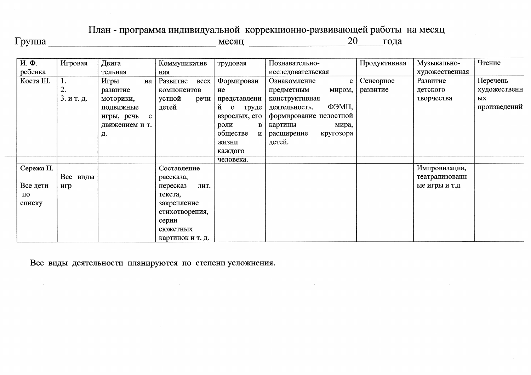### План - программа индивидуальной коррекционно-развивающей работы на месяц

 $20$ года

| И. Ф.     | Игровая    | Двига                      | Коммуникатив            | трудовая                   | Познавательно-               | Продуктивная | Музыкально-    | Чтение       |
|-----------|------------|----------------------------|-------------------------|----------------------------|------------------------------|--------------|----------------|--------------|
| ребенка   |            | тельная                    | ная                     |                            | исследовательская            |              | художественная |              |
| Костя Ш.  | ı.         | Игры<br>на                 | Развитие<br><b>BCCX</b> | Формирован                 | Ознакомление<br>$\mathbf{c}$ | Сенсорное    | Развитие       | Перечень     |
|           | 2.         | развитие                   | компонентов             | ие                         | предметным<br>миром,         | развитие     | детского       | художественн |
|           | 3. и т. д. | моторики,                  | устной<br>речи          | представлени               | конструктивная               |              | творчества     | ЫX           |
|           |            | подвижные                  | детей                   | й<br>$\mathbf{O}$<br>труде | ФЭМП,<br>деятельность,       |              |                | произведений |
|           |            | игры, речь<br>$\mathbf{c}$ |                         | взрослых, его              | формирование целостной       |              |                |              |
|           |            | движением и т.             |                         | роли                       | мира,<br>картины             |              |                |              |
|           |            | Д.                         |                         | обществе<br>И              | расширение<br>кругозора      |              |                |              |
|           |            |                            |                         | жизни                      | детей.                       |              |                |              |
|           |            |                            |                         | каждого                    |                              |              |                |              |
|           |            |                            |                         | человека.                  |                              |              |                |              |
| Сережа П. |            |                            | Составление             |                            |                              |              | Импровизация,  |              |
|           | Все виды   |                            | рассказа,               |                            |                              |              | театрализованн |              |
| Все дети  | игр        |                            | лит.<br>пересказ        |                            |                              |              | ые игры и т.д. |              |
| по        |            |                            | текста,                 |                            |                              |              |                |              |
| списку    |            |                            | закрепление             |                            |                              |              |                |              |
|           |            |                            | стихотворения,          |                            |                              |              |                |              |
|           |            |                            | серии                   |                            |                              |              |                |              |
|           |            |                            | сюжетных                |                            |                              |              |                |              |
|           |            |                            | картинок и т. д.        |                            |                              |              |                |              |

Все виды деятельности планируются по степени усложнения.

 $\sim 10^{-11}$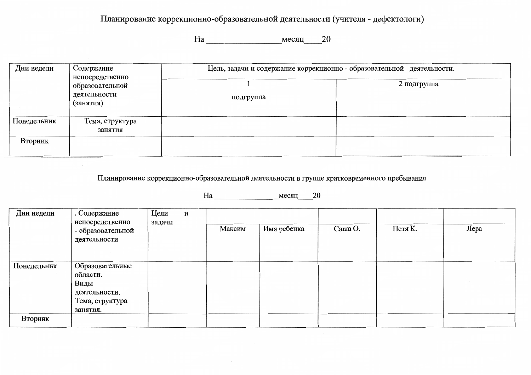### Планирование коррекционно-образовательной деятельности (учителя - дефектологи)

| Дни недели  | Содержание                                                      | Цель, задачи и содержание коррекционно - образовательной деятельности. |             |  |  |
|-------------|-----------------------------------------------------------------|------------------------------------------------------------------------|-------------|--|--|
|             | непосредственно<br>образовательной<br>деятельности<br>(занятия) | подгруппа                                                              | 2 подгруппа |  |  |
| Понедельник | Тема, структура<br>занятия                                      |                                                                        |             |  |  |
| Вторник     |                                                                 |                                                                        |             |  |  |

Планирование коррекционно-образовательной деятельности в группе кратковременного пребывания

На месяц 20

| Дни недели  | . Содержание<br>непосредственно                                                     | Цели<br>задачи | И |        |             |         |         |      |
|-------------|-------------------------------------------------------------------------------------|----------------|---|--------|-------------|---------|---------|------|
|             | - образовательной<br>деятельности                                                   |                |   | Максим | Имя ребенка | Cama O. | Петя К. | Лера |
| Понедельник | Образовательные<br>области.<br>Виды<br>деятельности.<br>Тема, структура<br>занятия. |                |   |        |             |         |         |      |
| Вторник     |                                                                                     |                |   |        |             |         |         |      |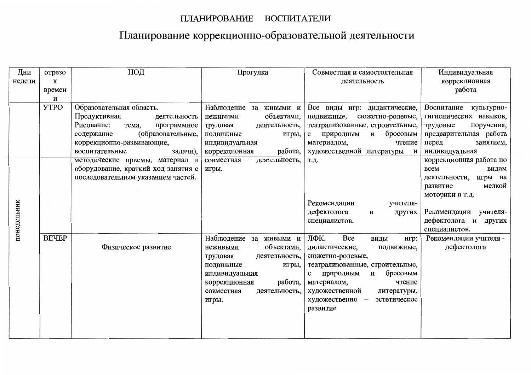### ПЛАНИРОВАНИЕ ВОСПИТАТЕЛИ

## Планирование коррекционно-образовательной деятельности

| Дни         | отрезо       | НОД                                 | Прогулка                    | Совместная и самостоятельная          | Индивидуальная                        |
|-------------|--------------|-------------------------------------|-----------------------------|---------------------------------------|---------------------------------------|
| недели      | К            |                                     |                             | деятельность                          | коррекционная                         |
|             | времен       |                                     |                             |                                       | работа                                |
|             | и            |                                     |                             |                                       |                                       |
|             | <b>YTPO</b>  | Образовательная область.            | Наблюдение за живыми и      | Все виды игр: дидактические,          | Воспитание<br>культурно-              |
|             |              | Продуктивная<br>деятельность        | объектами,<br>неживыми      | подвижные,<br>сюжетно-ролевые,        | гигиенических навыков,                |
|             |              | Рисование:<br>программное<br>тема,  | деятельность,<br>трудовая   | театрализованные, строительные,       | поручения,<br>трудовые                |
|             |              | (образовательные,<br>содержание     | подвижные<br>игры,          | бросовым<br>природным<br>И<br>$\bf c$ | предварительная работа                |
|             |              | коррекционно-развивающие,           | индивидуальная              | материалом,<br>чтение                 | занятием,<br>перед                    |
|             |              | задачи),<br>воспитательные          | работа,<br>коррекционная    | художественной литературы<br>И        | индивидуальная                        |
|             |              | методические приемы, материал и     | совместная<br>деятельность, | Т.Д.                                  | коррекционная работа по               |
|             |              | оборудование, краткий ход занятия с | игры.                       |                                       | <b>BCCM</b><br>видам                  |
|             |              | последовательным указанием частей.  |                             |                                       | игры на<br>деятельности,              |
|             |              |                                     |                             |                                       | мелкой<br>развитие                    |
|             |              |                                     |                             |                                       | моторики и т.д.                       |
|             |              |                                     |                             | Рекомендации<br>учителя-              |                                       |
|             |              |                                     |                             | дефектолога<br>И<br>других            | Рекомендации учителя-                 |
| понедельник |              |                                     |                             | специалистов.                         | дефектолога и других<br>специалистов. |
|             | <b>BEYEP</b> |                                     | Наблюдение за живыми и      | ЛФК.<br>Bce<br>виды<br>игр:           | Рекомендации учителя -                |
|             |              | Физическое развитие                 | объектами,<br>неживыми      | дидактические,<br>подвижные,          | дефектолога                           |
|             |              |                                     | деятельность,<br>трудовая   | сюжетно-ролевые,                      |                                       |
|             |              |                                     | подвижные<br>игры,          | театрализованные, строительные,       |                                       |
|             |              |                                     | индивидуальная              | бросовым<br>природным<br>и<br>c       |                                       |
|             |              |                                     | работа,<br>коррекционная    | материалом,<br>чтение                 |                                       |
|             |              |                                     | деятельность,<br>совместная | художественной<br>литературы,         |                                       |
|             |              |                                     | игры.                       | художественно -<br>эстетическое       |                                       |
|             |              |                                     |                             | развитие                              |                                       |
|             |              |                                     |                             |                                       |                                       |
|             |              |                                     |                             |                                       |                                       |
|             |              |                                     |                             |                                       |                                       |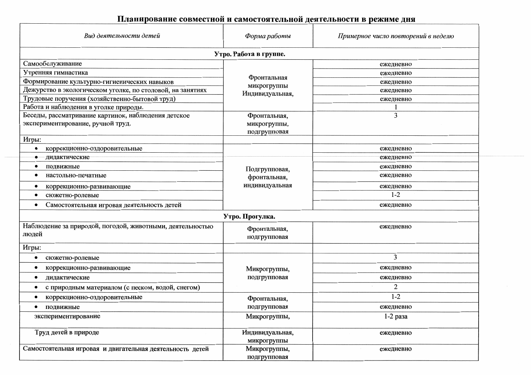### Планирование совместной и самостоятельной деятельности в режиме дня

| Вид деятельности детей                                             | Форма работы                                    | Примерное число повторений в неделю |  |
|--------------------------------------------------------------------|-------------------------------------------------|-------------------------------------|--|
|                                                                    | Утро. Работа в группе.                          |                                     |  |
| Самообслуживание                                                   |                                                 | ежедневно                           |  |
| Утренняя гимнастика                                                |                                                 | ежедневно                           |  |
| Формирование культурно-гигиенических навыков                       | Фронтальная<br>микрогруппы                      | ежедневно                           |  |
| Дежурство в экологическом уголке, по столовой, на занятиях         | Индивидуальная,                                 | ежедневно                           |  |
| Трудовые поручения (хозяйственно-бытовой труд)                     |                                                 | ежедневно                           |  |
| Работа и наблюдения в уголке природы.                              |                                                 |                                     |  |
| Беседы, рассматривание картинок, наблюдения детское                | Фронтальная,                                    | 3                                   |  |
| экспериментирование, ручной труд.                                  | микрогруппы,<br>подгрупповая                    |                                     |  |
| Игры:                                                              |                                                 |                                     |  |
| коррекционно-оздоровительные                                       |                                                 | ежедневно                           |  |
| дидактические                                                      |                                                 | ежедневно                           |  |
| подвижные                                                          | Подгрупповая,<br>фронтальная,<br>индивидуальная | ежедневно                           |  |
| настольно-печатные                                                 |                                                 | ежедневно                           |  |
| коррекционно-развивающие                                           |                                                 | ежедневно                           |  |
| сюжетно-ролевые<br>٠                                               |                                                 | $1 - 2$                             |  |
| Самостоятельная игровая деятельность детей                         |                                                 | ежедневно                           |  |
|                                                                    | Утро. Прогулка.                                 |                                     |  |
| Наблюдение за природой, погодой, животными, деятельностью<br>людей | Фронтальная,<br>подгрупповая                    | ежедневно                           |  |
| Игры:                                                              |                                                 |                                     |  |
| сюжетно-ролевые                                                    |                                                 | 3                                   |  |
| коррекционно-развивающие                                           | Микрогруппы,                                    | ежедневно                           |  |
| дидактические                                                      | подгрупповая                                    | ежедневно                           |  |
| с природным материалом (с песком, водой, снегом)                   |                                                 | 2                                   |  |
| коррекционно-оздоровительные                                       | Фронтальная,                                    | $1 - 2$                             |  |
| подвижные                                                          | подгрупповая                                    | ежедневно                           |  |
| экспериментирование                                                | Микрогруппы,                                    | 1-2 раза                            |  |
| Труд детей в природе                                               | Индивидуальная,<br>микрогруппы                  | ежедневно                           |  |
| Самостоятельная игровая и двигательная деятельность детей          | Микрогруппы,<br>подгрупповая                    | ежедневно                           |  |